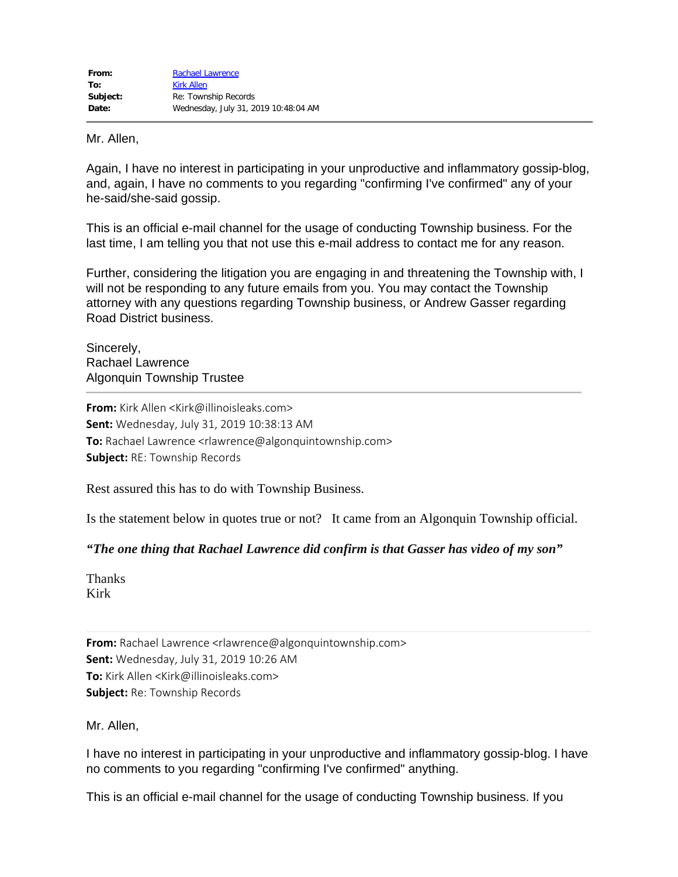Mr. Allen,

Again, I have no interest in participating in your unproductive and inflammatory gossip-blog, and, again, I have no comments to you regarding "confirming I've confirmed" any of your he-said/she-said gossip.

This is an official e-mail channel for the usage of conducting Township business. For the last time, I am telling you that not use this e-mail address to contact me for any reason.

Further, considering the litigation you are engaging in and threatening the Township with, I will not be responding to any future emails from you. You may contact the Township attorney with any questions regarding Township business, or Andrew Gasser regarding Road District business.

Sincerely, Rachael Lawrence Algonquin Township Trustee

**From:** Kirk Allen <Kirk@illinoisleaks.com> **Sent:** Wednesday, July 31, 2019 10:38:13 AM **To:** Rachael Lawrence <rlawrence@algonquintownship.com> **Subject:** RE: Township Records

Rest assured this has to do with Township Business.

Is the statement below in quotes true or not? It came from an Algonquin Township official.

## *"The one thing that Rachael Lawrence did confirm is that Gasser has video of my son"*

Thanks Kirk

**From:** Rachael Lawrence <rlawrence@algonquintownship.com> **Sent:** Wednesday, July 31, 2019 10:26 AM **To:** Kirk Allen <Kirk@illinoisleaks.com> **Subject:** Re: Township Records

Mr. Allen,

I have no interest in participating in your unproductive and inflammatory gossip-blog. I have no comments to you regarding "confirming I've confirmed" anything.

This is an official e-mail channel for the usage of conducting Township business. If you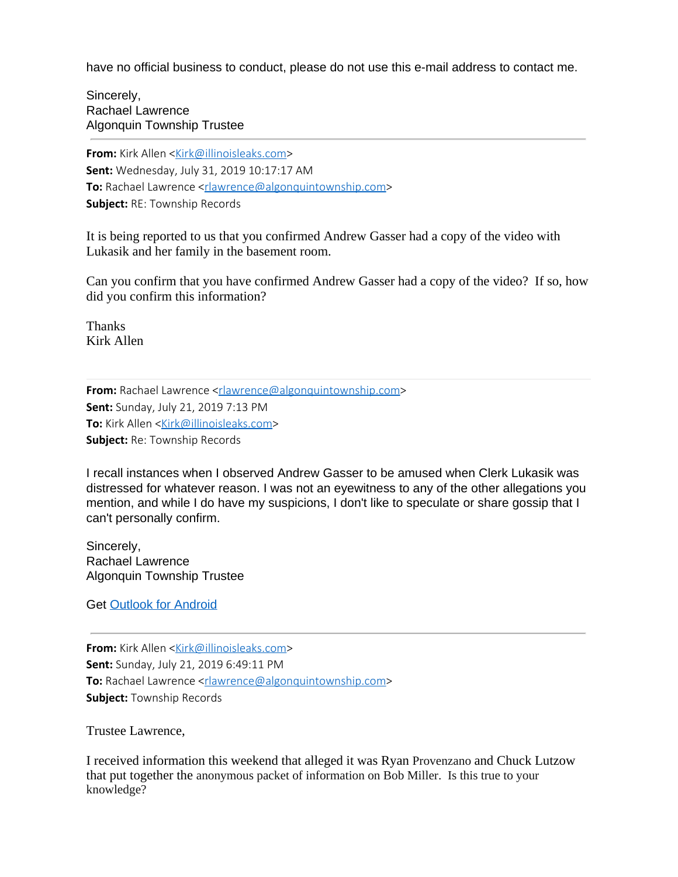have no official business to conduct, please do not use this e-mail address to contact me.

Sincerely, Rachael Lawrence Algonquin Township Trustee

**From:** Kirk Allen [<Kirk@illinoisleaks.com](mailto:Kirk@illinoisleaks.com)> **Sent:** Wednesday, July 31, 2019 10:17:17 AM **To:** Rachael Lawrence <[rlawrence@algonquintownship.com>](mailto:rlawrence@algonquintownship.com) **Subject:** RE: Township Records

It is being reported to us that you confirmed Andrew Gasser had a copy of the video with Lukasik and her family in the basement room.

Can you confirm that you have confirmed Andrew Gasser had a copy of the video? If so, how did you confirm this information?

Thanks Kirk Allen

**From:** Rachael Lawrence [<rlawrence@algonquintownship.com](mailto:rlawrence@algonquintownship.com)> **Sent:** Sunday, July 21, 2019 7:13 PM **To:** Kirk Allen <**[Kirk@illinoisleaks.com](mailto:Kirk@illinoisleaks.com)> Subject:** Re: Township Records

I recall instances when I observed Andrew Gasser to be amused when Clerk Lukasik was distressed for whatever reason. I was not an eyewitness to any of the other allegations you mention, and while I do have my suspicions, I don't like to speculate or share gossip that I can't personally confirm.

Sincerely, Rachael Lawrence Algonquin Township Trustee

Get [Outlook for Android](https://aka.ms/ghei36)

**From:** Kirk Allen [<Kirk@illinoisleaks.com](mailto:Kirk@illinoisleaks.com)> **Sent:** Sunday, July 21, 2019 6:49:11 PM **To:** Rachael Lawrence <[rlawrence@algonquintownship.com>](mailto:rlawrence@algonquintownship.com) **Subject:** Township Records

Trustee Lawrence,

I received information this weekend that alleged it was Ryan Provenzano and Chuck Lutzow that put together the anonymous packet of information on Bob Miller. Is this true to your knowledge?